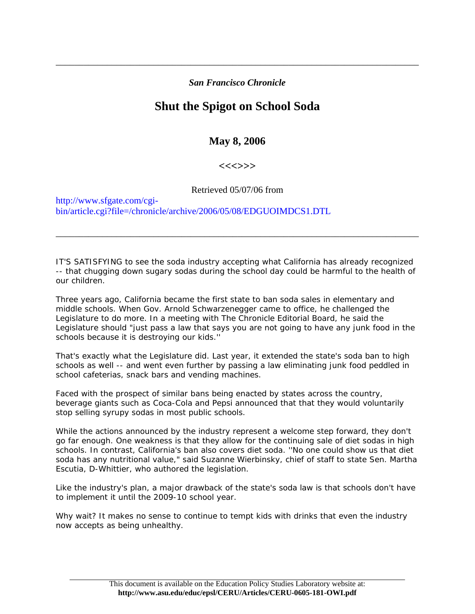## *San Francisco Chronicle*

\_\_\_\_\_\_\_\_\_\_\_\_\_\_\_\_\_\_\_\_\_\_\_\_\_\_\_\_\_\_\_\_\_\_\_\_\_\_\_\_\_\_\_\_\_\_\_\_\_\_\_\_\_\_\_\_\_\_\_\_\_\_\_\_\_\_\_\_\_\_\_\_\_\_\_\_\_\_

## **Shut the Spigot on School Soda**

## **May 8, 2006**

## **<<<>>>**

Retrieved 05/07/06 from

\_\_\_\_\_\_\_\_\_\_\_\_\_\_\_\_\_\_\_\_\_\_\_\_\_\_\_\_\_\_\_\_\_\_\_\_\_\_\_\_\_\_\_\_\_\_\_\_\_\_\_\_\_\_\_\_\_\_\_\_\_\_\_\_\_\_\_\_\_\_\_\_\_\_\_\_\_\_

http://www.sfgate.com/cgibin/article.cgi?file=/chronicle/archive/2006/05/08/EDGUOIMDCS1.DTL

IT'S SATISFYING to see the soda industry accepting what California has already recognized -- that chugging down sugary sodas during the school day could be harmful to the health of our children.

Three years ago, California became the first state to ban soda sales in elementary and middle schools. When Gov. Arnold Schwarzenegger came to office, he challenged the Legislature to do more. In a meeting with The Chronicle Editorial Board, he said the Legislature should "just pass a law that says you are not going to have any junk food in the schools because it is destroying our kids.''

That's exactly what the Legislature did. Last year, it extended the state's soda ban to high schools as well -- and went even further by passing a law eliminating junk food peddled in school cafeterias, snack bars and vending machines.

Faced with the prospect of similar bans being enacted by states across the country, beverage giants such as Coca-Cola and Pepsi announced that that they would voluntarily stop selling syrupy sodas in most public schools.

While the actions announced by the industry represent a welcome step forward, they don't go far enough. One weakness is that they allow for the continuing sale of diet sodas in high schools. In contrast, California's ban also covers diet soda. ''No one could show us that diet soda has any nutritional value," said Suzanne Wierbinsky, chief of staff to state Sen. Martha Escutia, D-Whittier, who authored the legislation.

Like the industry's plan, a major drawback of the state's soda law is that schools don't have to implement it until the 2009-10 school year.

Why wait? It makes no sense to continue to tempt kids with drinks that even the industry now accepts as being unhealthy.